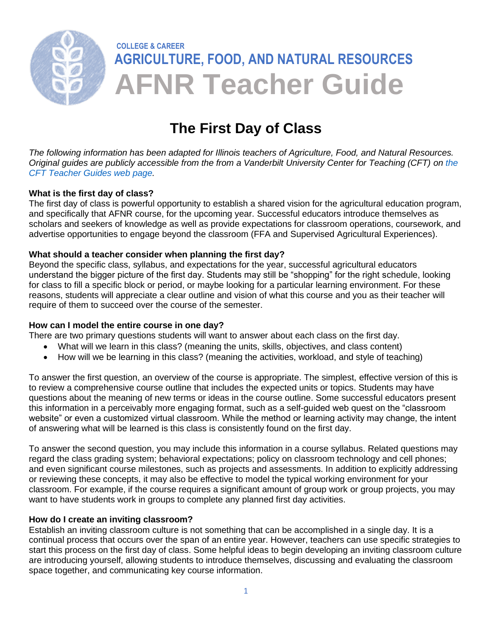

# **The First Day of Class**

*The following information has been adapted for Illinois teachers of Agriculture, Food, and Natural Resources. Original guides are publicly accessible from the from a Vanderbilt University Center for Teaching (CFT) on [the](https://cft.vanderbilt.edu/guides-sub-pages/)  [CFT Teacher Guides web page.](https://cft.vanderbilt.edu/guides-sub-pages/)* 

### **What is the first day of class?**

The first day of class is powerful opportunity to establish a shared vision for the agricultural education program, and specifically that AFNR course, for the upcoming year. Successful educators introduce themselves as scholars and seekers of knowledge as well as provide expectations for classroom operations, coursework, and advertise opportunities to engage beyond the classroom (FFA and Supervised Agricultural Experiences).

### **What should a teacher consider when planning the first day?**

Beyond the specific class, syllabus, and expectations for the year, successful agricultural educators understand the bigger picture of the first day. Students may still be "shopping" for the right schedule, looking for class to fill a specific block or period, or maybe looking for a particular learning environment. For these reasons, students will appreciate a clear outline and vision of what this course and you as their teacher will require of them to succeed over the course of the semester.

#### **How can I model the entire course in one day?**

There are two primary questions students will want to answer about each class on the first day.

- What will we learn in this class? (meaning the units, skills, objectives, and class content)
- How will we be learning in this class? (meaning the activities, workload, and style of teaching)

To answer the first question, an overview of the course is appropriate. The simplest, effective version of this is to review a comprehensive course outline that includes the expected units or topics. Students may have questions about the meaning of new terms or ideas in the course outline. Some successful educators present this information in a perceivably more engaging format, such as a self-guided web quest on the "classroom website" or even a customized virtual classroom. While the method or learning activity may change, the intent of answering what will be learned is this class is consistently found on the first day.

To answer the second question, you may include this information in a course syllabus. Related questions may regard the class grading system; behavioral expectations; policy on classroom technology and cell phones; and even significant course milestones, such as projects and assessments. In addition to explicitly addressing or reviewing these concepts, it may also be effective to model the typical working environment for your classroom. For example, if the course requires a significant amount of group work or group projects, you may want to have students work in groups to complete any planned first day activities.

### **How do I create an inviting classroom?**

Establish an inviting classroom culture is not something that can be accomplished in a single day. It is a continual process that occurs over the span of an entire year. However, teachers can use specific strategies to start this process on the first day of class. Some helpful ideas to begin developing an inviting classroom culture are introducing yourself, allowing students to introduce themselves, discussing and evaluating the classroom space together, and communicating key course information.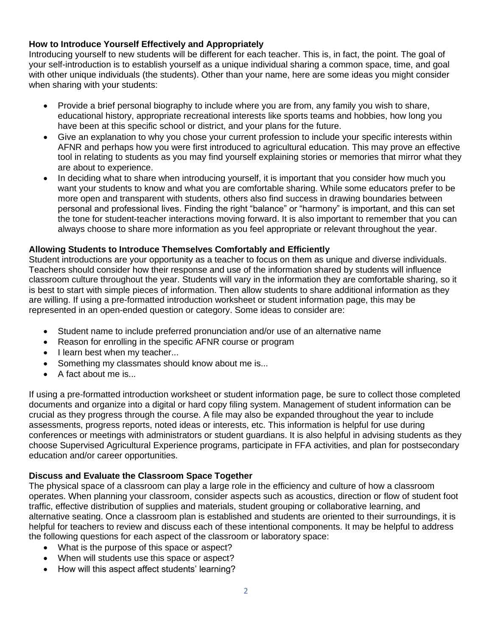## **How to Introduce Yourself Effectively and Appropriately**

Introducing yourself to new students will be different for each teacher. This is, in fact, the point. The goal of your self-introduction is to establish yourself as a unique individual sharing a common space, time, and goal with other unique individuals (the students). Other than your name, here are some ideas you might consider when sharing with your students:

- Provide a brief personal biography to include where you are from, any family you wish to share, educational history, appropriate recreational interests like sports teams and hobbies, how long you have been at this specific school or district, and your plans for the future.
- Give an explanation to why you chose your current profession to include your specific interests within AFNR and perhaps how you were first introduced to agricultural education. This may prove an effective tool in relating to students as you may find yourself explaining stories or memories that mirror what they are about to experience.
- In deciding what to share when introducing yourself, it is important that you consider how much you want your students to know and what you are comfortable sharing. While some educators prefer to be more open and transparent with students, others also find success in drawing boundaries between personal and professional lives. Finding the right "balance" or "harmony" is important, and this can set the tone for student-teacher interactions moving forward. It is also important to remember that you can always choose to share more information as you feel appropriate or relevant throughout the year.

### **Allowing Students to Introduce Themselves Comfortably and Efficiently**

Student introductions are your opportunity as a teacher to focus on them as unique and diverse individuals. Teachers should consider how their response and use of the information shared by students will influence classroom culture throughout the year. Students will vary in the information they are comfortable sharing, so it is best to start with simple pieces of information. Then allow students to share additional information as they are willing. If using a pre-formatted introduction worksheet or student information page, this may be represented in an open-ended question or category. Some ideas to consider are:

- Student name to include preferred pronunciation and/or use of an alternative name
- Reason for enrolling in the specific AFNR course or program
- I learn best when my teacher...
- Something my classmates should know about me is...
- A fact about me is...

If using a pre-formatted introduction worksheet or student information page, be sure to collect those completed documents and organize into a digital or hard copy filing system. Management of student information can be crucial as they progress through the course. A file may also be expanded throughout the year to include assessments, progress reports, noted ideas or interests, etc. This information is helpful for use during conferences or meetings with administrators or student guardians. It is also helpful in advising students as they choose Supervised Agricultural Experience programs, participate in FFA activities, and plan for postsecondary education and/or career opportunities.

### **Discuss and Evaluate the Classroom Space Together**

The physical space of a classroom can play a large role in the efficiency and culture of how a classroom operates. When planning your classroom, consider aspects such as acoustics, direction or flow of student foot traffic, effective distribution of supplies and materials, student grouping or collaborative learning, and alternative seating. Once a classroom plan is established and students are oriented to their surroundings, it is helpful for teachers to review and discuss each of these intentional components. It may be helpful to address the following questions for each aspect of the classroom or laboratory space:

- What is the purpose of this space or aspect?
- When will students use this space or aspect?
- How will this aspect affect students' learning?